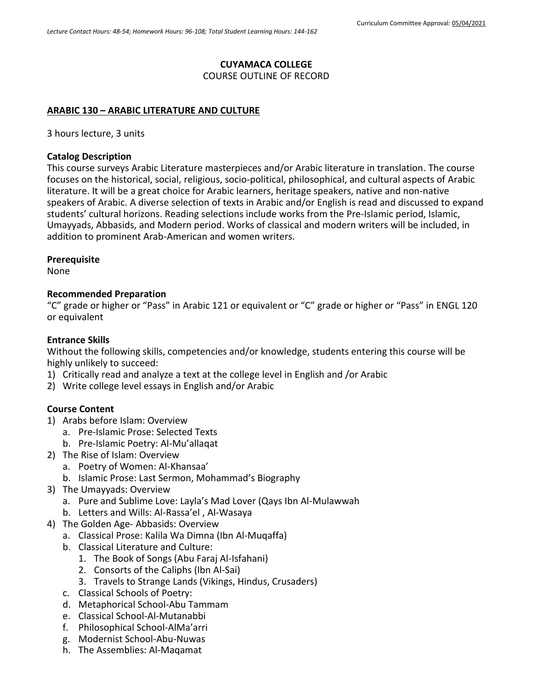## **CUYAMACA COLLEGE**

COURSE OUTLINE OF RECORD

### **ARABIC 130 – ARABIC LITERATURE AND CULTURE**

3 hours lecture, 3 units

### **Catalog Description**

This course surveys Arabic Literature masterpieces and/or Arabic literature in translation. The course focuses on the historical, social, religious, socio-political, philosophical, and cultural aspects of Arabic literature. It will be a great choice for Arabic learners, heritage speakers, native and non-native speakers of Arabic. A diverse selection of texts in Arabic and/or English is read and discussed to expand students' cultural horizons. Reading selections include works from the Pre-Islamic period, Islamic, Umayyads, Abbasids, and Modern period. Works of classical and modern writers will be included, in addition to prominent Arab-American and women writers.

#### **Prerequisite**

None

#### **Recommended Preparation**

"C" grade or higher or "Pass" in Arabic 121 or equivalent or "C" grade or higher or "Pass" in ENGL 120 or equivalent

### **Entrance Skills**

Without the following skills, competencies and/or knowledge, students entering this course will be highly unlikely to succeed:

- 1) Critically read and analyze a text at the college level in English and /or Arabic
- 2) Write college level essays in English and/or Arabic

## **Course Content**

- 1) Arabs before Islam: Overview
	- a. Pre-Islamic Prose: Selected Texts
	- b. Pre-Islamic Poetry: Al-Mu'allaqat
- 2) The Rise of Islam: Overview
	- a. Poetry of Women: Al-Khansaa'
	- b. Islamic Prose: Last Sermon, Mohammad's Biography
- 3) The Umayyads: Overview
	- a. Pure and Sublime Love: Layla's Mad Lover (Qays Ibn Al-Mulawwah
	- b. Letters and Wills: Al-Rassa'el , Al-Wasaya
- 4) The Golden Age- Abbasids: Overview
	- a. Classical Prose: Kalila Wa Dimna (Ibn Al-Muqaffa)
	- b. Classical Literature and Culture:
		- 1. The Book of Songs (Abu Faraj Al-Isfahani)
		- 2. Consorts of the Caliphs (Ibn Al-Sai)
		- 3. Travels to Strange Lands (Vikings, Hindus, Crusaders)
	- c. Classical Schools of Poetry:
	- d. Metaphorical School-Abu Tammam
	- e. Classical School-Al-Mutanabbi
	- f. Philosophical School-AlMa'arri
	- g. Modernist School-Abu-Nuwas
	- h. The Assemblies: Al-Maqamat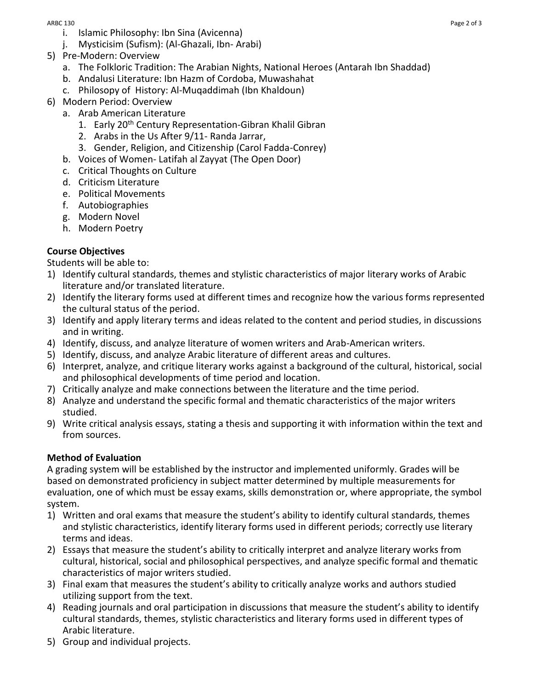- i. Islamic Philosophy: Ibn Sina (Avicenna)
- j. Mysticisim (Sufism): (Al-Ghazali, Ibn- Arabi)
- 5) Pre-Modern: Overview
	- a. The Folkloric Tradition: The Arabian Nights, National Heroes (Antarah Ibn Shaddad)
	- b. Andalusi Literature: Ibn Hazm of Cordoba, Muwashahat
	- c. Philosopy of History: Al-Muqaddimah (Ibn Khaldoun)
- 6) Modern Period: Overview
	- a. Arab American Literature
		- 1. Early 20<sup>th</sup> Century Representation-Gibran Khalil Gibran
		- 2. Arabs in the Us After 9/11- Randa Jarrar,
		- 3. Gender, Religion, and Citizenship (Carol Fadda-Conrey)
	- b. Voices of Women- Latifah al Zayyat (The Open Door)
	- c. Critical Thoughts on Culture
	- d. Criticism Literature
	- e. Political Movements
	- f. Autobiographies
	- g. Modern Novel
	- h. Modern Poetry

# **Course Objectives**

Students will be able to:

- 1) Identify cultural standards, themes and stylistic characteristics of major literary works of Arabic literature and/or translated literature.
- 2) Identify the literary forms used at different times and recognize how the various forms represented the cultural status of the period.
- 3) Identify and apply literary terms and ideas related to the content and period studies, in discussions and in writing.
- 4) Identify, discuss, and analyze literature of women writers and Arab-American writers.
- 5) Identify, discuss, and analyze Arabic literature of different areas and cultures.
- 6) Interpret, analyze, and critique literary works against a background of the cultural, historical, social and philosophical developments of time period and location.
- 7) Critically analyze and make connections between the literature and the time period.
- 8) Analyze and understand the specific formal and thematic characteristics of the major writers studied.
- 9) Write critical analysis essays, stating a thesis and supporting it with information within the text and from sources.

# **Method of Evaluation**

A grading system will be established by the instructor and implemented uniformly. Grades will be based on demonstrated proficiency in subject matter determined by multiple measurements for evaluation, one of which must be essay exams, skills demonstration or, where appropriate, the symbol system.

- 1) Written and oral exams that measure the student's ability to identify cultural standards, themes and stylistic characteristics, identify literary forms used in different periods; correctly use literary terms and ideas.
- 2) Essays that measure the student's ability to critically interpret and analyze literary works from cultural, historical, social and philosophical perspectives, and analyze specific formal and thematic characteristics of major writers studied.
- 3) Final exam that measures the student's ability to critically analyze works and authors studied utilizing support from the text.
- 4) Reading journals and oral participation in discussions that measure the student's ability to identify cultural standards, themes, stylistic characteristics and literary forms used in different types of Arabic literature.
- 5) Group and individual projects.